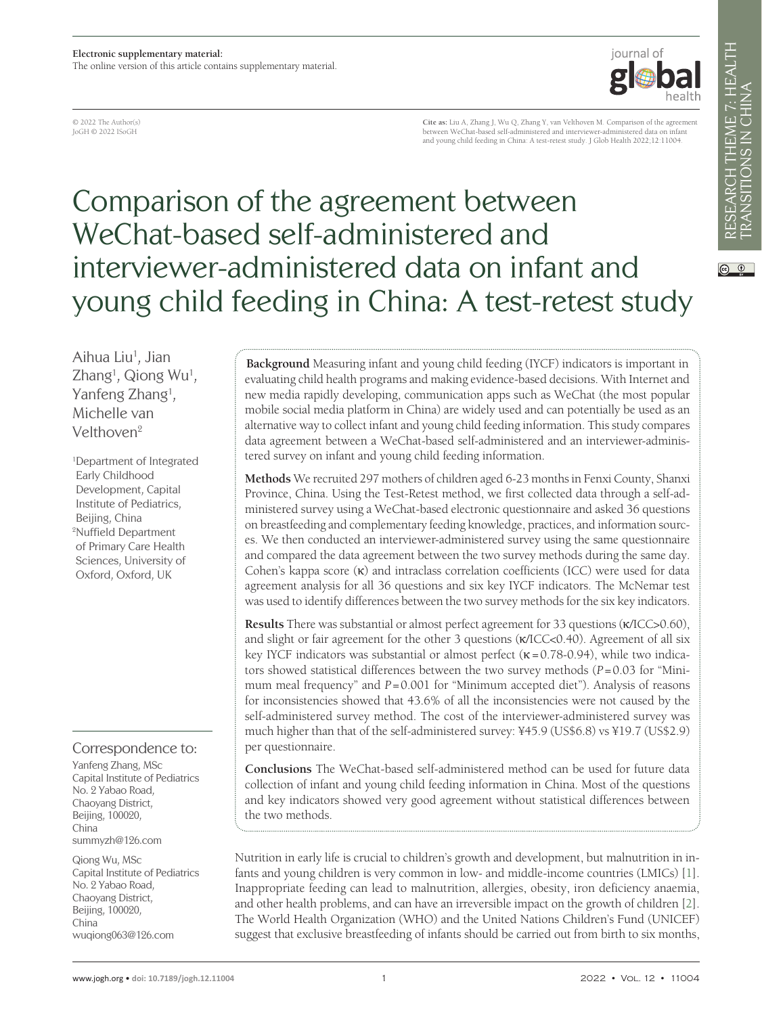© 2022 The Author(s) JoGH © 2022 ISoGH

**Cite as:** Liu A, Zhang J, Wu Q, Zhang Y, van Velthoven M. Comparison of the agreement between WeChat-based self-administered and interviewer-administered data on infant and young child feeding in China: A test-retest study. J Glob Health 2022;12:11004.

journal of

# Comparison of the agreement between WeChat-based self-administered and interviewer-administered data on infant and young child feeding in China: A test-retest study

Aihua Liu<sup>1</sup>, Jian Zhang<sup>1</sup>, Qiong Wu<sup>1</sup>, Yanfeng Zhang<sup>1</sup>, Michelle van Velthoven2

1 Department of Integrated Early Childhood Development, Capital Institute of Pediatrics, Beijing, China 2 Nuffield Department of Primary Care Health Sciences, University of Oxford, Oxford, UK

#### Correspondence to:

Yanfeng Zhang, MSc Capital Institute of Pediatrics No. 2 Yabao Road, Chaoyang District, Beijing, 100020, China summyzh@126.com

Qiong Wu, MSc Capital Institute of Pediatrics No. 2 Yabao Road, Chaoyang District, Beijing, 100020, China wuqiong063@126.com

**Background** Measuring infant and young child feeding (IYCF) indicators is important in evaluating child health programs and making evidence-based decisions. With Internet and new media rapidly developing, communication apps such as WeChat (the most popular mobile social media platform in China) are widely used and can potentially be used as an alternative way to collect infant and young child feeding information. This study compares data agreement between a WeChat-based self-administered and an interviewer-administered survey on infant and young child feeding information.

**Methods** We recruited 297 mothers of children aged 6-23 months in Fenxi County, Shanxi Province, China. Using the Test-Retest method, we first collected data through a self-administered survey using a WeChat-based electronic questionnaire and asked 36 questions on breastfeeding and complementary feeding knowledge, practices, and information sources. We then conducted an interviewer-administered survey using the same questionnaire and compared the data agreement between the two survey methods during the same day. Cohen's kappa score  $(\kappa)$  and intraclass correlation coefficients (ICC) were used for data agreement analysis for all 36 questions and six key IYCF indicators. The McNemar test was used to identify differences between the two survey methods for the six key indicators.

**Results** There was substantial or almost perfect agreement for 33 questions (κ/ICC>0.60), and slight or fair agreement for the other 3 questions (κ/ICC<0.40). Agreement of all six key IYCF indicators was substantial or almost perfect ( $\kappa$ =0.78-0.94), while two indicators showed statistical differences between the two survey methods (*P*=0.03 for "Minimum meal frequency" and *P* = 0.001 for "Minimum accepted diet"). Analysis of reasons for inconsistencies showed that 43.6% of all the inconsistencies were not caused by the self-administered survey method. The cost of the interviewer-administered survey was much higher than that of the self-administered survey: ¥45.9 (US\$6.8) vs ¥19.7 (US\$2.9) per questionnaire.

**Conclusions** The WeChat-based self-administered method can be used for future data collection of infant and young child feeding information in China. Most of the questions and key indicators showed very good agreement without statistical differences between the two methods.

Nutrition in early life is crucial to children's growth and development, but malnutrition in infants and young children is very common in low- and middle-income countries (LMICs) [\[1](#page-10-0)]. Inappropriate feeding can lead to malnutrition, allergies, obesity, iron deficiency anaemia, and other health problems, and can have an irreversible impact on the growth of children [\[2](#page-10-1)]. The World Health Organization (WHO) and the United Nations Children's Fund (UNICEF) suggest that exclusive breastfeeding of infants should be carried out from birth to six months,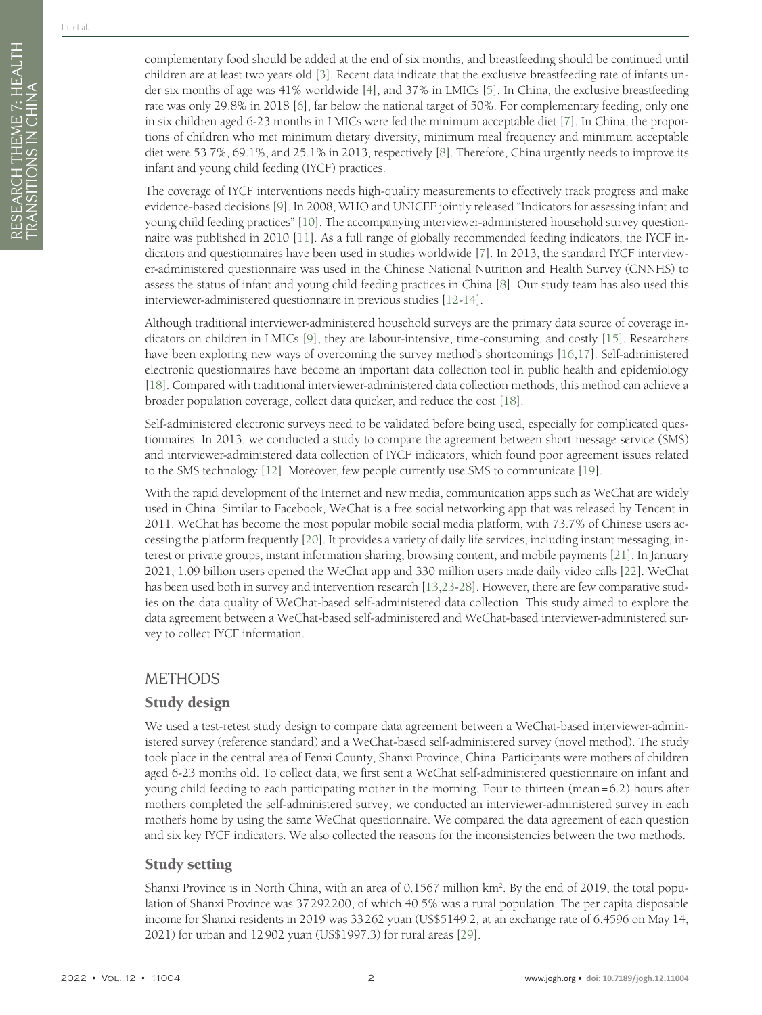complementary food should be added at the end of six months, and breastfeeding should be continued until children are at least two years old [[3\]](#page-10-2). Recent data indicate that the exclusive breastfeeding rate of infants under six months of age was 41% worldwide [\[4](#page-10-3)], and 37% in LMICs [\[5](#page-10-4)]. In China, the exclusive breastfeeding rate was only 29.8% in 2018 [\[6](#page-10-5)], far below the national target of 50%. For complementary feeding, only one in six children aged 6-23 months in LMICs were fed the minimum acceptable diet [\[7](#page-10-6)]. In China, the proportions of children who met minimum dietary diversity, minimum meal frequency and minimum acceptable diet were 53.7%, 69.1%, and 25.1% in 2013, respectively [[8\]](#page-10-7). Therefore, China urgently needs to improve its infant and young child feeding (IYCF) practices.

The coverage of IYCF interventions needs high-quality measurements to effectively track progress and make evidence-based decisions [\[9\]](#page-10-8). In 2008, WHO and UNICEF jointly released "Indicators for assessing infant and young child feeding practices" [\[10](#page-10-9)]. The accompanying interviewer-administered household survey questionnaire was published in 2010 [\[11](#page-10-10)]. As a full range of globally recommended feeding indicators, the IYCF indicators and questionnaires have been used in studies worldwide [[7\]](#page-10-6). In 2013, the standard IYCF interviewer-administered questionnaire was used in the Chinese National Nutrition and Health Survey (CNNHS) to assess the status of infant and young child feeding practices in China [[8\]](#page-10-7). Our study team has also used this interviewer-administered questionnaire in previous studies [[12-](#page-11-0)[14](#page-11-1)].

Although traditional interviewer-administered household surveys are the primary data source of coverage indicators on children in LMICs [[9\]](#page-10-8), they are labour-intensive, time-consuming, and costly [[15\]](#page-11-2). Researchers have been exploring new ways of overcoming the survey method's shortcomings [[16](#page-11-3)[,17\]](#page-11-4). Self-administered electronic questionnaires have become an important data collection tool in public health and epidemiology [[18\]](#page-11-5). Compared with traditional interviewer-administered data collection methods, this method can achieve a broader population coverage, collect data quicker, and reduce the cost [[18\]](#page-11-5).

Self-administered electronic surveys need to be validated before being used, especially for complicated questionnaires. In 2013, we conducted a study to compare the agreement between short message service (SMS) and interviewer-administered data collection of IYCF indicators, which found poor agreement issues related to the SMS technology [\[12](#page-11-0)]. Moreover, few people currently use SMS to communicate [\[19](#page-11-6)].

With the rapid development of the Internet and new media, communication apps such as WeChat are widely used in China. Similar to Facebook, WeChat is a free social networking app that was released by Tencent in 2011. WeChat has become the most popular mobile social media platform, with 73.7% of Chinese users accessing the platform frequently [[20\]](#page-11-7). It provides a variety of daily life services, including instant messaging, interest or private groups, instant information sharing, browsing content, and mobile payments [\[21](#page-11-8)]. In January 2021, 1.09 billion users opened the WeChat app and 330 million users made daily video calls [[22](#page-11-9)]. WeChat has been used both in survey and intervention research [[13](#page-11-10)[,23-](#page-11-11)[28\]](#page-11-12). However, there are few comparative studies on the data quality of WeChat-based self-administered data collection. This study aimed to explore the data agreement between a WeChat-based self-administered and WeChat-based interviewer-administered survey to collect IYCF information.

#### **METHODS**

#### Study design

We used a test-retest study design to compare data agreement between a WeChat-based interviewer-administered survey (reference standard) and a WeChat-based self-administered survey (novel method). The study took place in the central area of Fenxi County, Shanxi Province, China. Participants were mothers of children aged 6-23 months old. To collect data, we first sent a WeChat self-administered questionnaire on infant and young child feeding to each participating mother in the morning. Four to thirteen (mean=6.2) hours after mothers completed the self-administered survey, we conducted an interviewer-administered survey in each mother's home by using the same WeChat questionnaire. We compared the data agreement of each question and six key IYCF indicators. We also collected the reasons for the inconsistencies between the two methods.

# Study setting

Shanxi Province is in North China, with an area of 0.1567 million km<sup>2</sup>. By the end of 2019, the total population of Shanxi Province was 37292200, of which 40.5% was a rural population. The per capita disposable income for Shanxi residents in 2019 was 33262 yuan (US\$5149.2, at an exchange rate of 6.4596 on May 14, 2021) for urban and 12902 yuan (US\$1997.3) for rural areas [\[29](#page-11-13)].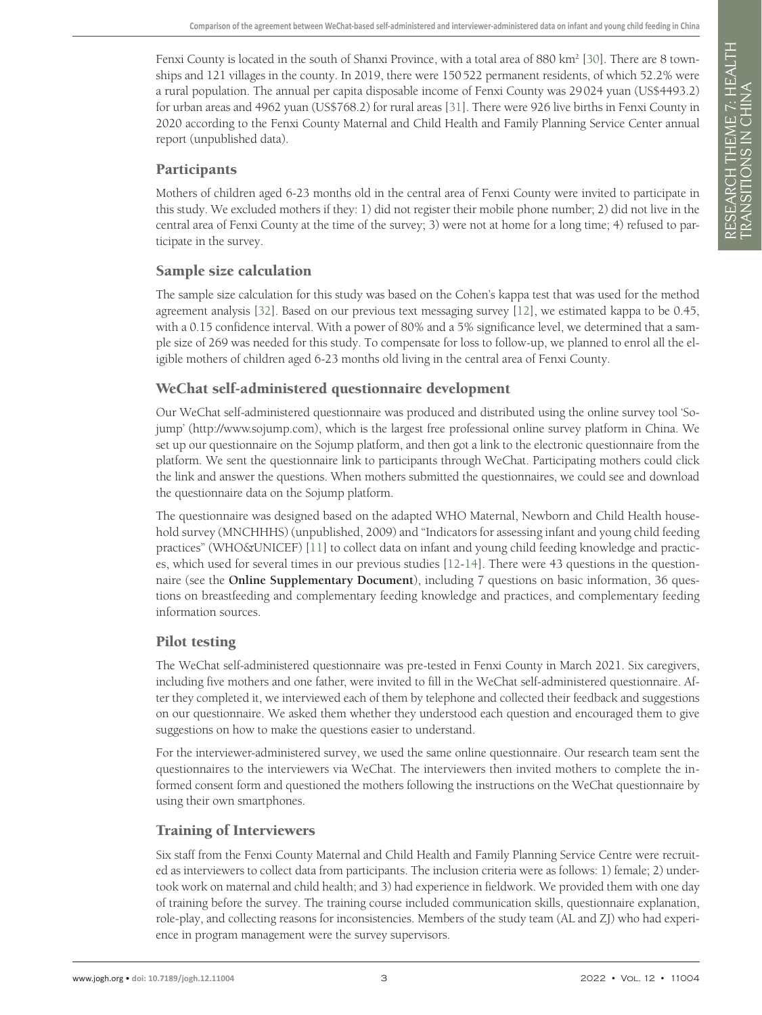Fenxi County is located in the south of Shanxi Province, with a total area of 880 km<sup>2</sup> [[30\]](#page-11-14). There are 8 townships and 121 villages in the county. In 2019, there were 150522 permanent residents, of which 52.2% were a rural population. The annual per capita disposable income of Fenxi County was 29024 yuan (US\$4493.2) for urban areas and 4962 yuan (US\$768.2) for rural areas [\[31](#page-11-15)]. There were 926 live births in Fenxi County in 2020 according to the Fenxi County Maternal and Child Health and Family Planning Service Center annual report (unpublished data).

#### **Participants**

Mothers of children aged 6-23 months old in the central area of Fenxi County were invited to participate in this study. We excluded mothers if they: 1) did not register their mobile phone number; 2) did not live in the central area of Fenxi County at the time of the survey; 3) were not at home for a long time; 4) refused to participate in the survey.

## Sample size calculation

The sample size calculation for this study was based on the Cohen's kappa test that was used for the method agreement analysis [[32\]](#page-11-16). Based on our previous text messaging survey [\[12](#page-11-0)], we estimated kappa to be 0.45, with a 0.15 confidence interval. With a power of 80% and a 5% significance level, we determined that a sample size of 269 was needed for this study. To compensate for loss to follow-up, we planned to enrol all the eligible mothers of children aged 6-23 months old living in the central area of Fenxi County.

## WeChat self-administered questionnaire development

Our WeChat self-administered questionnaire was produced and distributed using the online survey tool 'Sojump' (http://www.sojump.com), which is the largest free professional online survey platform in China. We set up our questionnaire on the Sojump platform, and then got a link to the electronic questionnaire from the platform. We sent the questionnaire link to participants through WeChat. Participating mothers could click the link and answer the questions. When mothers submitted the questionnaires, we could see and download the questionnaire data on the Sojump platform.

The questionnaire was designed based on the adapted WHO Maternal, Newborn and Child Health household survey (MNCHHHS) (unpublished, 2009) and "Indicators for assessing infant and young child feeding practices" (WHO&UNICEF) [\[11\]](#page-10-10) to collect data on infant and young child feeding knowledge and practices, which used for several times in our previous studies [[12](#page-11-0)[-14\]](#page-11-1). There were 43 questions in the questionnaire (see the **Online Supplementary Document**), including 7 questions on basic information, 36 questions on breastfeeding and complementary feeding knowledge and practices, and complementary feeding information sources.

# Pilot testing

The WeChat self-administered questionnaire was pre-tested in Fenxi County in March 2021. Six caregivers, including five mothers and one father, were invited to fill in the WeChat self-administered questionnaire. After they completed it, we interviewed each of them by telephone and collected their feedback and suggestions on our questionnaire. We asked them whether they understood each question and encouraged them to give suggestions on how to make the questions easier to understand.

For the interviewer-administered survey, we used the same online questionnaire. Our research team sent the questionnaires to the interviewers via WeChat. The interviewers then invited mothers to complete the informed consent form and questioned the mothers following the instructions on the WeChat questionnaire by using their own smartphones.

#### Training of Interviewers

Six staff from the Fenxi County Maternal and Child Health and Family Planning Service Centre were recruited as interviewers to collect data from participants. The inclusion criteria were as follows: 1) female; 2) undertook work on maternal and child health; and 3) had experience in fieldwork. We provided them with one day of training before the survey. The training course included communication skills, questionnaire explanation, role-play, and collecting reasons for inconsistencies. Members of the study team (AL and ZJ) who had experience in program management were the survey supervisors.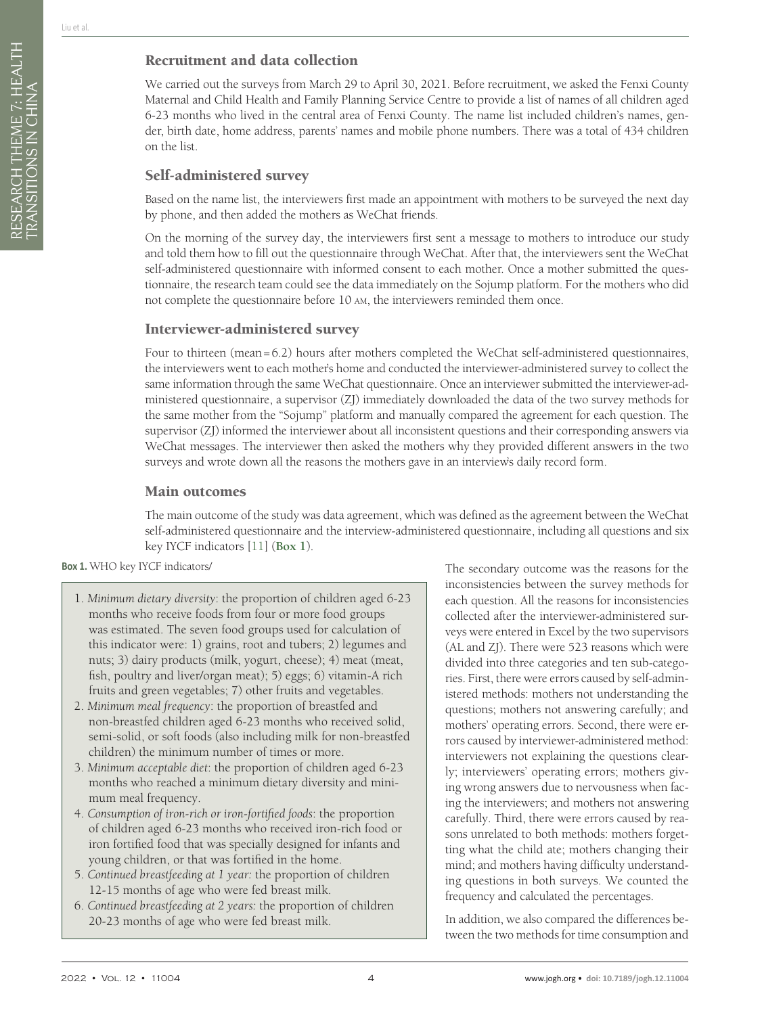We carried out the surveys from March 29 to April 30, 2021. Before recruitment, we asked the Fenxi County Maternal and Child Health and Family Planning Service Centre to provide a list of names of all children aged 6-23 months who lived in the central area of Fenxi County. The name list included children's names, gender, birth date, home address, parents' names and mobile phone numbers. There was a total of 434 children on the list.

# Self-administered survey

Based on the name list, the interviewers first made an appointment with mothers to be surveyed the next day by phone, and then added the mothers as WeChat friends.

On the morning of the survey day, the interviewers first sent a message to mothers to introduce our study and told them how to fill out the questionnaire through WeChat. After that, the interviewers sent the WeChat self-administered questionnaire with informed consent to each mother. Once a mother submitted the questionnaire, the research team could see the data immediately on the Sojump platform. For the mothers who did not complete the questionnaire before 10 am, the interviewers reminded them once.

## Interviewer-administered survey

Four to thirteen (mean=6.2) hours after mothers completed the WeChat self-administered questionnaires, the interviewers went to each mother's home and conducted the interviewer-administered survey to collect the same information through the same WeChat questionnaire. Once an interviewer submitted the interviewer-administered questionnaire, a supervisor (ZJ) immediately downloaded the data of the two survey methods for the same mother from the "Sojump" platform and manually compared the agreement for each question. The supervisor (ZJ) informed the interviewer about all inconsistent questions and their corresponding answers via WeChat messages. The interviewer then asked the mothers why they provided different answers in the two surveys and wrote down all the reasons the mothers gave in an interview's daily record form.

## Main outcomes

The main outcome of the study was data agreement, which was defined as the agreement between the WeChat self-administered questionnaire and the interview-administered questionnaire, including all questions and six key IYCF indicators [\[11\]](#page-10-10) (**[Box](#page-3-0) 1**).

#### <span id="page-3-0"></span>**Box 1.** WHO key IYCF indicators/

- 1. *Minimum dietary diversity*: the proportion of children aged 6-23 months who receive foods from four or more food groups was estimated. The seven food groups used for calculation of this indicator were: 1) grains, root and tubers; 2) legumes and nuts; 3) dairy products (milk, yogurt, cheese); 4) meat (meat, fish, poultry and liver/organ meat); 5) eggs; 6) vitamin-A rich fruits and green vegetables; 7) other fruits and vegetables.
- 2. *Minimum meal frequency*: the proportion of breastfed and non-breastfed children aged 6-23 months who received solid, semi-solid, or soft foods (also including milk for non-breastfed children) the minimum number of times or more.
- 3. *Minimum acceptable diet*: the proportion of children aged 6-23 months who reached a minimum dietary diversity and minimum meal frequency.
- 4. *Consumption of iron-rich or iron-fortified foods*: the proportion of children aged 6-23 months who received iron-rich food or iron fortified food that was specially designed for infants and young children, or that was fortified in the home.
- 5. *Continued breastfeeding at 1 year:* the proportion of children 12-15 months of age who were fed breast milk.
- 6. *Continued breastfeeding at 2 years:* the proportion of children 20-23 months of age who were fed breast milk.

The secondary outcome was the reasons for the inconsistencies between the survey methods for each question. All the reasons for inconsistencies collected after the interviewer-administered surveys were entered in Excel by the two supervisors (AL and ZJ). There were 523 reasons which were divided into three categories and ten sub-categories. First, there were errors caused by self-administered methods: mothers not understanding the questions; mothers not answering carefully; and mothers' operating errors. Second, there were errors caused by interviewer-administered method: interviewers not explaining the questions clearly; interviewers' operating errors; mothers giving wrong answers due to nervousness when facing the interviewers; and mothers not answering carefully. Third, there were errors caused by reasons unrelated to both methods: mothers forgetting what the child ate; mothers changing their mind; and mothers having difficulty understanding questions in both surveys. We counted the frequency and calculated the percentages.

In addition, we also compared the differences between the two methods for time consumption and

RESEARCH THEME 7: HEALTH

RESEARCH THEME 7: HEALTH<br>TRANSITIONS IN CHINA

TRANSITIONS IN CHINA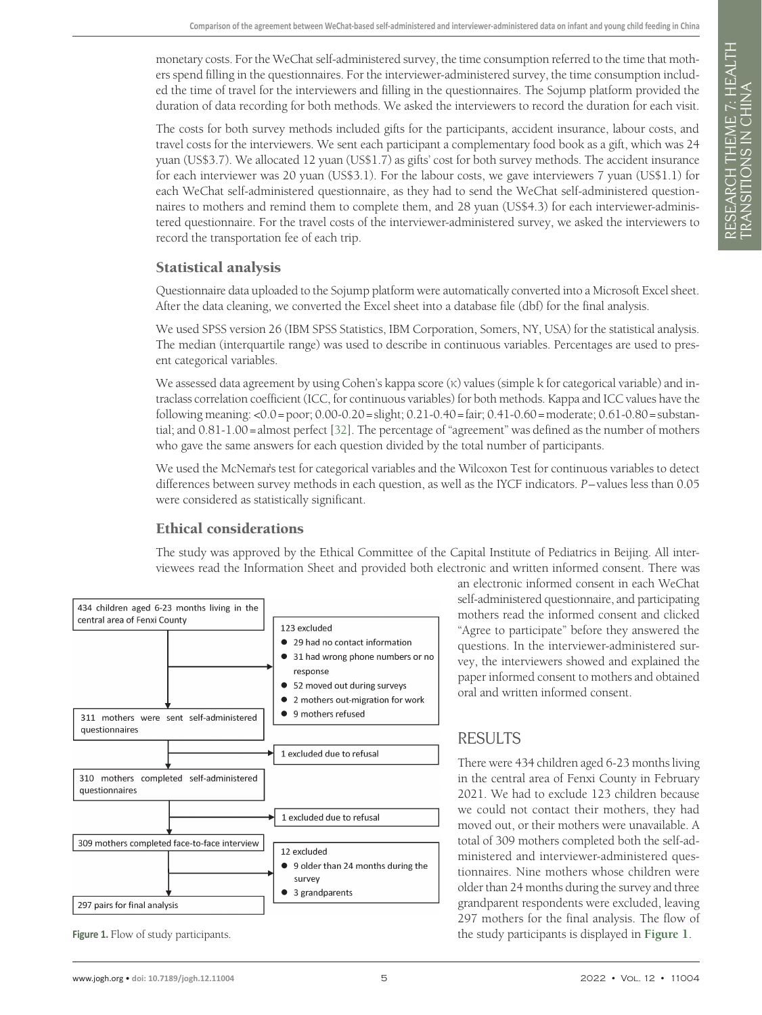monetary costs. For the WeChat self-administered survey, the time consumption referred to the time that mothers spend filling in the questionnaires. For the interviewer-administered survey, the time consumption included the time of travel for the interviewers and filling in the questionnaires. The Sojump platform provided the duration of data recording for both methods. We asked the interviewers to record the duration for each visit.

The costs for both survey methods included gifts for the participants, accident insurance, labour costs, and travel costs for the interviewers. We sent each participant a complementary food book as a gift, which was 24 yuan (US\$3.7). We allocated 12 yuan (US\$1.7) as gifts' cost for both survey methods. The accident insurance for each interviewer was 20 yuan (US\$3.1). For the labour costs, we gave interviewers 7 yuan (US\$1.1) for each WeChat self-administered questionnaire, as they had to send the WeChat self-administered questionnaires to mothers and remind them to complete them, and 28 yuan (US\$4.3) for each interviewer-administered questionnaire. For the travel costs of the interviewer-administered survey, we asked the interviewers to record the transportation fee of each trip.

#### Statistical analysis

Questionnaire data uploaded to the Sojump platform were automatically converted into a Microsoft Excel sheet. After the data cleaning, we converted the Excel sheet into a database file (dbf) for the final analysis.

We used SPSS version 26 (IBM SPSS Statistics, IBM Corporation, Somers, NY, USA) for the statistical analysis. The median (interquartile range) was used to describe in continuous variables. Percentages are used to present categorical variables.

We assessed data agreement by using Cohen's kappa score (κ) values (simple k for categorical variable) and intraclass correlation coefficient (ICC, for continuous variables) for both methods. Kappa and ICC values have the following meaning: <0.0=poor; 0.00-0.20=slight; 0.21-0.40=fair; 0.41-0.60=moderate; 0.61-0.80=substantial; and 0.81-1.00=almost perfect [\[32](#page-11-16)]. The percentage of "agreement" was defined as the number of mothers who gave the same answers for each question divided by the total number of participants.

We used the McNemar's test for categorical variables and the Wilcoxon Test for continuous variables to detect differences between survey methods in each question, as well as the IYCF indicators. *P*–values less than 0.05 were considered as statistically significant.

#### Ethical considerations

The study was approved by the Ethical Committee of the Capital Institute of Pediatrics in Beijing. All interviewees read the Information Sheet and provided both electronic and written informed consent. There was

<span id="page-4-0"></span>

an electronic informed consent in each WeChat self-administered questionnaire, and participating mothers read the informed consent and clicked "Agree to participate" before they answered the questions. In the interviewer-administered survey, the interviewers showed and explained the paper informed consent to mothers and obtained oral and written informed consent.

# RESULTS

There were 434 children aged 6-23 months living in the central area of Fenxi County in February 2021. We had to exclude 123 children because we could not contact their mothers, they had moved out, or their mothers were unavailable. A total of 309 mothers completed both the self-administered and interviewer-administered questionnaires. Nine mothers whose children were older than 24 months during the survey and three grandparent respondents were excluded, leaving 297 mothers for the final analysis. The flow of **[Figure](#page-4-0) 1.** Flow of study participants. the study participants is displayed in Figure 1.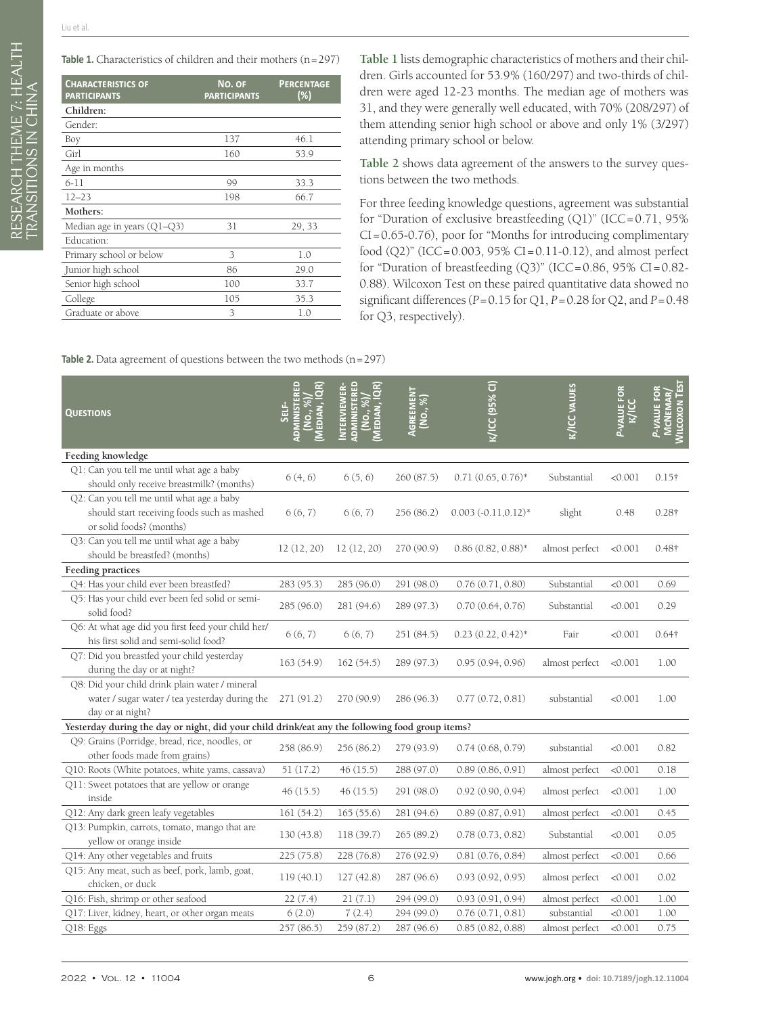<span id="page-5-0"></span>Table 1. Characteristics of children and their mothers (n=297)

| <b>CHARACTERISTICS OF</b><br><b>PARTICIPANTS</b> | NO. OF<br><b>PARTICIPANTS</b> | <b>PERCENTAGE</b><br>(%) |
|--------------------------------------------------|-------------------------------|--------------------------|
| Children:                                        |                               |                          |
| Gender:                                          |                               |                          |
| Boy                                              | 137                           | 46.1                     |
| Girl                                             | 160                           | 53.9                     |
| Age in months                                    |                               |                          |
| $6-11$                                           | 99                            | 33.3                     |
| $12 - 23$                                        | 198                           | 66.7                     |
| Mothers:                                         |                               |                          |
| Median age in years $(Q1-Q3)$                    | 31                            | 29, 33                   |
| Education:                                       |                               |                          |
| Primary school or below                          | 3                             | 1.0                      |
| Junior high school                               | 86                            | 29.0                     |
| Senior high school                               | 100                           | 33.7                     |
| College                                          | 105                           | 35.3                     |
| Graduate or above                                | 3                             | 1.0                      |

**[Table](#page-5-0) 1** lists demographic characteristics of mothers and their children. Girls accounted for 53.9% (160/297) and two-thirds of children were aged 12-23 months. The median age of mothers was 31, and they were generally well educated, with 70% (208/297) of them attending senior high school or above and only 1% (3/297) attending primary school or below.

**[Table](#page-5-1) 2** shows data agreement of the answers to the survey questions between the two methods.

For three feeding knowledge questions, agreement was substantial for "Duration of exclusive breastfeeding  $(Q1)$ " (ICC=0.71, 95%) CI=0.65-0.76), poor for "Months for introducing complimentary food (Q2)" (ICC=0.003, 95% CI=0.11-0.12), and almost perfect for "Duration of breastfeeding (Q3)" (ICC=0.86, 95% CI=0.82- 0.88). Wilcoxon Test on these paired quantitative data showed no significant differences (*P*=0.15 for Q1, *P*=0.28 for Q2, and *P*=0.48 for Q3, respectively).

<span id="page-5-1"></span>**Table 2.** Data agreement of questions between the two methods (n=297)

| <b>QUESTIONS</b>                                                                                                     | EDIAN,     | NTERVIEWER<br>EDIAN,<br><b>TSINING</b><br>No., | AGREEMENT<br>(No., %) | K/ICC (95% CI)          | <b>K/ICC VALUES</b> | P-VALUE FOR<br>$\frac{1}{\sqrt{100}}$ | <b>MILCOXON TEST</b><br>P-VALUE FOR<br>CNEMAR |
|----------------------------------------------------------------------------------------------------------------------|------------|------------------------------------------------|-----------------------|-------------------------|---------------------|---------------------------------------|-----------------------------------------------|
| Feeding knowledge                                                                                                    |            |                                                |                       |                         |                     |                                       |                                               |
| Q1: Can you tell me until what age a baby<br>should only receive breastmilk? (months)                                | 6(4, 6)    | 6(5, 6)                                        | 260(87.5)             | $0.71(0.65, 0.76)^*$    | Substantial         | < 0.001                               | $0.15\dagger$                                 |
| Q2: Can you tell me until what age a baby<br>should start receiving foods such as mashed<br>or solid foods? (months) | 6(6, 7)    | 6(6, 7)                                        | 256 (86.2)            | $0.003 (-0.11, 0.12)^*$ | slight              | 0.48                                  | $0.28\dagger$                                 |
| Q3: Can you tell me until what age a baby<br>should be breastfed? (months)                                           | 12(12, 20) | 12(12, 20)                                     | 270 (90.9)            | $0.86(0.82, 0.88)$ *    | almost perfect      | < 0.001                               | $0.48\dagger$                                 |
| Feeding practices                                                                                                    |            |                                                |                       |                         |                     |                                       |                                               |
| Q4: Has your child ever been breastfed?                                                                              | 283 (95.3) | 285 (96.0)                                     | 291 (98.0)            | 0.76(0.71, 0.80)        | Substantial         | < 0.001                               | 0.69                                          |
| Q5: Has your child ever been fed solid or semi-<br>solid food?                                                       | 285(96.0)  | 281 (94.6)                                     | 289 (97.3)            | 0.70(0.64, 0.76)        | Substantial         | < 0.001                               | 0.29                                          |
| Q6: At what age did you first feed your child her/<br>his first solid and semi-solid food?                           | 6(6, 7)    | 6(6, 7)                                        | 251 (84.5)            | $0.23(0.22, 0.42)^*$    | Fair                | < 0.001                               | $0.64\dagger$                                 |
| Q7: Did you breastfed your child yesterday<br>during the day or at night?                                            | 163 (54.9) | 162(54.5)                                      | 289 (97.3)            | 0.95(0.94, 0.96)        | almost perfect      | < 0.001                               | 1.00                                          |
| Q8: Did your child drink plain water / mineral<br>water / sugar water / tea yesterday during the<br>day or at night? | 271 (91.2) | 270 (90.9)                                     | 286 (96.3)            | 0.77(0.72, 0.81)        | substantial         | < 0.001                               | 1.00                                          |
| Yesterday during the day or night, did your child drink/eat any the following food group items?                      |            |                                                |                       |                         |                     |                                       |                                               |
| Q9: Grains (Porridge, bread, rice, noodles, or<br>other foods made from grains)                                      | 258 (86.9) | 256 (86.2)                                     | 279 (93.9)            | 0.74(0.68, 0.79)        | substantial         | < 0.001                               | 0.82                                          |
| Q10: Roots (White potatoes, white yams, cassava)                                                                     | 51(17.2)   | 46(15.5)                                       | 288 (97.0)            | 0.89(0.86, 0.91)        | almost perfect      | < 0.001                               | 0.18                                          |
| Q11: Sweet potatoes that are yellow or orange<br>inside                                                              | 46(15.5)   | 46(15.5)                                       | 291 (98.0)            | 0.92(0.90, 0.94)        | almost perfect      | < 0.001                               | 1.00                                          |
| Q12: Any dark green leafy vegetables                                                                                 | 161(54.2)  | 165(55.6)                                      | 281 (94.6)            | 0.89(0.87, 0.91)        | almost perfect      | < 0.001                               | 0.45                                          |
| Q13: Pumpkin, carrots, tomato, mango that are<br>yellow or orange inside                                             | 130(43.8)  | 118(39.7)                                      | 265(89.2)             | 0.78(0.73, 0.82)        | Substantial         | < 0.001                               | 0.05                                          |
| Q14: Any other vegetables and fruits                                                                                 | 225(75.8)  | 228(76.8)                                      | 276 (92.9)            | 0.81(0.76, 0.84)        | almost perfect      | < 0.001                               | 0.66                                          |
| Q15: Any meat, such as beef, pork, lamb, goat,<br>chicken, or duck                                                   | 119(40.1)  | 127(42.8)                                      | 287 (96.6)            | 0.93(0.92, 0.95)        | almost perfect      | < 0.001                               | 0.02                                          |
| Q16: Fish, shrimp or other seafood                                                                                   | 22(7.4)    | 21(7.1)                                        | 294 (99.0)            | 0.93(0.91, 0.94)        | almost perfect      | < 0.001                               | 1.00                                          |
| Q17: Liver, kidney, heart, or other organ meats                                                                      | 6(2.0)     | 7(2.4)                                         | 294 (99.0)            | 0.76(0.71, 0.81)        | substantial         | < 0.001                               | 1.00                                          |
| Q18: Eggs                                                                                                            | 257(86.5)  | 259 (87.2)                                     | 287 (96.6)            | 0.85(0.82, 0.88)        | almost perfect      | < 0.001                               | 0.75                                          |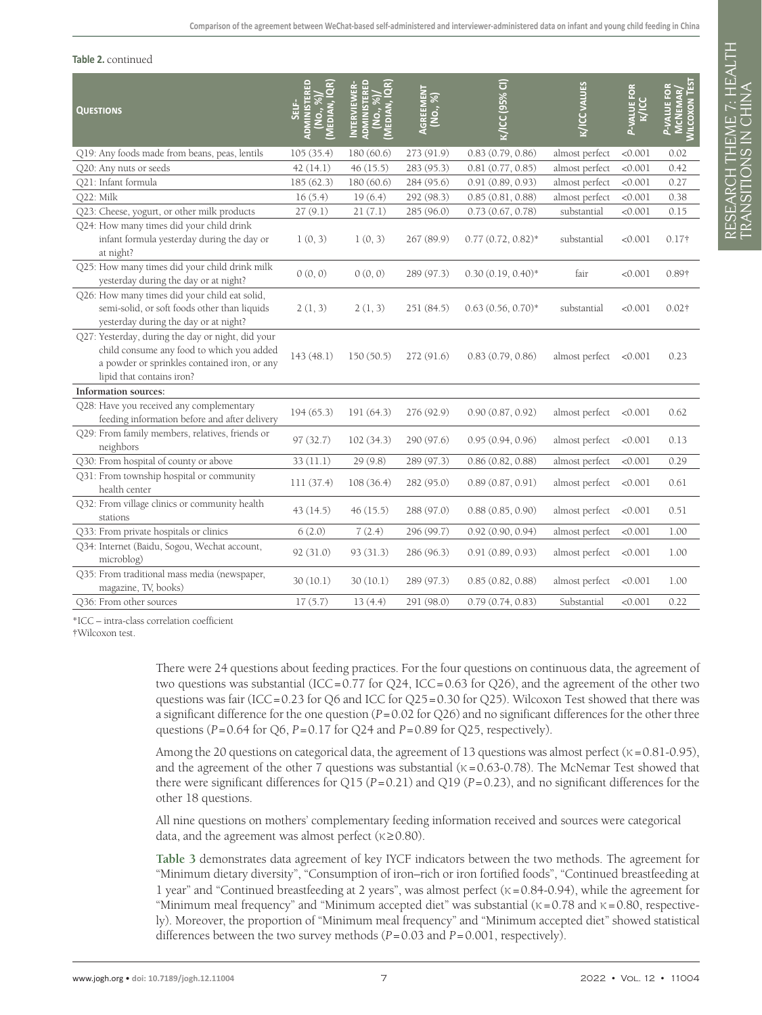#### **Table 2.** continued

| QUESTIONS                                                                                                                                                                   | نا<br>پانا<br>ခဲ<br>EDIA | NTERVIEWER<br>No., %<br>EDIAN,<br><b>NOM</b> | <b>AGREEMENT</b><br>(No., %) | K/ICC (95% CI)       | <b>K/ICC VALUES</b> | P-VALUE FOR<br><b>K/ICC</b> | <b>MILCOXON TEST</b><br>ᅙ<br><b>MCNEMAR</b><br><b>ALUE</b> |
|-----------------------------------------------------------------------------------------------------------------------------------------------------------------------------|--------------------------|----------------------------------------------|------------------------------|----------------------|---------------------|-----------------------------|------------------------------------------------------------|
| Q19: Any foods made from beans, peas, lentils                                                                                                                               | 105(35.4)                | 180 (60.6)                                   | 273 (91.9)                   | 0.83(0.79, 0.86)     | almost perfect      | < 0.001                     | 0.02                                                       |
| Q20: Any nuts or seeds                                                                                                                                                      | 42(14.1)                 | 46(15.5)                                     | 283 (95.3)                   | 0.81(0.77, 0.85)     | almost perfect      | < 0.001                     | 0.42                                                       |
| Q21: Infant formula                                                                                                                                                         | 185(62.3)                | 180(60.6)                                    | 284 (95.6)                   | 0.91(0.89, 0.93)     | almost perfect      | < 0.001                     | 0.27                                                       |
| Q22: Milk                                                                                                                                                                   | 16(5.4)                  | 19(6.4)                                      | 292 (98.3)                   | 0.85(0.81, 0.88)     | almost perfect      | < 0.001                     | 0.38                                                       |
| Q23: Cheese, yogurt, or other milk products                                                                                                                                 | 27(9.1)                  | 21(7.1)                                      | 285 (96.0)                   | 0.73(0.67, 0.78)     | substantial         | < 0.001                     | 0.15                                                       |
| Q24: How many times did your child drink<br>infant formula yesterday during the day or<br>at night?                                                                         | 1(0, 3)                  | 1(0, 3)                                      | 267 (89.9)                   | $0.77(0.72, 0.82)^*$ | substantial         | < 0.001                     | $0.17\dagger$                                              |
| Q25: How many times did your child drink milk<br>yesterday during the day or at night?                                                                                      | 0(0, 0)                  | 0(0, 0)                                      | 289 (97.3)                   | $0.30(0.19, 0.40)$ * | fair                | < 0.001                     | 0.89†                                                      |
| Q26: How many times did your child eat solid,<br>semi-solid, or soft foods other than liquids<br>yesterday during the day or at night?                                      | 2(1, 3)                  | 2(1, 3)                                      | 251(84.5)                    | $0.63(0.56, 0.70)$ * | substantial         | < 0.001                     | $0.02\dagger$                                              |
| Q27: Yesterday, during the day or night, did your<br>child consume any food to which you added<br>a powder or sprinkles contained iron, or any<br>lipid that contains iron? | 143(48.1)                | 150(50.5)                                    | 272(91.6)                    | 0.83(0.79, 0.86)     | almost perfect      | < 0.001                     | 0.23                                                       |
| Information sources:                                                                                                                                                        |                          |                                              |                              |                      |                     |                             |                                                            |
| Q28: Have you received any complementary<br>feeding information before and after delivery                                                                                   | 194(65.3)                | 191(64.3)                                    | 276 (92.9)                   | 0.90(0.87, 0.92)     | almost perfect      | < 0.001                     | 0.62                                                       |
| Q29: From family members, relatives, friends or<br>neighbors                                                                                                                | 97(32.7)                 | 102(34.3)                                    | 290 (97.6)                   | 0.95(0.94, 0.96)     | almost perfect      | < 0.001                     | 0.13                                                       |
| Q30: From hospital of county or above                                                                                                                                       | 33(11.1)                 | 29(9.8)                                      | 289 (97.3)                   | 0.86(0.82, 0.88)     | almost perfect      | < 0.001                     | 0.29                                                       |
| Q31: From township hospital or community<br>health center                                                                                                                   | 111(37.4)                | 108(36.4)                                    | 282 (95.0)                   | 0.89(0.87, 0.91)     | almost perfect      | < 0.001                     | 0.61                                                       |
| Q32: From village clinics or community health<br>stations                                                                                                                   | 43(14.5)                 | 46(15.5)                                     | 288 (97.0)                   | 0.88(0.85, 0.90)     | almost perfect      | < 0.001                     | 0.51                                                       |
| Q33: From private hospitals or clinics                                                                                                                                      | 6(2.0)                   | 7(2.4)                                       | 296 (99.7)                   | 0.92(0.90, 0.94)     | almost perfect      | < 0.001                     | 1.00                                                       |
| Q34: Internet (Baidu, Sogou, Wechat account,<br>microblog)                                                                                                                  | 92(31.0)                 | 93(31.3)                                     | 286 (96.3)                   | 0.91(0.89, 0.93)     | almost perfect      | < 0.001                     | 1.00                                                       |
| Q35: From traditional mass media (newspaper,<br>magazine, TV, books)                                                                                                        | 30(10.1)                 | 30(10.1)                                     | 289 (97.3)                   | 0.85(0.82, 0.88)     | almost perfect      | < 0.001                     | 1.00                                                       |
| O36: From other sources                                                                                                                                                     | 17(5.7)                  | 13(4.4)                                      | 291 (98.0)                   | 0.79(0.74, 0.83)     | Substantial         | < 0.001                     | 0.22                                                       |

\*ICC – intra-class correlation coefficient

†Wilcoxon test.

There were 24 questions about feeding practices. For the four questions on continuous data, the agreement of two questions was substantial (ICC=0.77 for Q24, ICC=0.63 for Q26), and the agreement of the other two questions was fair (ICC=0.23 for Q6 and ICC for Q25=0.30 for Q25). Wilcoxon Test showed that there was a significant difference for the one question (*P*=0.02 for Q26) and no significant differences for the other three questions  $(P=0.64$  for  $Q6$ ,  $P=0.17$  for  $Q24$  and  $P=0.89$  for  $Q25$ , respectively).

Among the 20 questions on categorical data, the agreement of 13 questions was almost perfect ( $\kappa = 0.81 - 0.95$ ), and the agreement of the other 7 questions was substantial ( $\kappa = 0.63$ -0.78). The McNemar Test showed that there were significant differences for Q15 (*P*=0.21) and Q19 (*P*=0.23), and no significant differences for the other 18 questions.

All nine questions on mothers' complementary feeding information received and sources were categorical data, and the agreement was almost perfect ( $\kappa \ge 0.80$ ).

**[Table 3](#page-7-0)** demonstrates data agreement of key IYCF indicators between the two methods. The agreement for "Minimum dietary diversity", "Consumption of iron–rich or iron fortified foods", "Continued breastfeeding at 1 year" and "Continued breastfeeding at 2 years", was almost perfect ( $\kappa$  = 0.84-0.94), while the agreement for "Minimum meal frequency" and "Minimum accepted diet" was substantial ( $\kappa = 0.78$  and  $\kappa = 0.80$ , respectively). Moreover, the proportion of "Minimum meal frequency" and "Minimum accepted diet" showed statistical differences between the two survey methods (*P* = 0.03 and *P* = 0.001, respectively).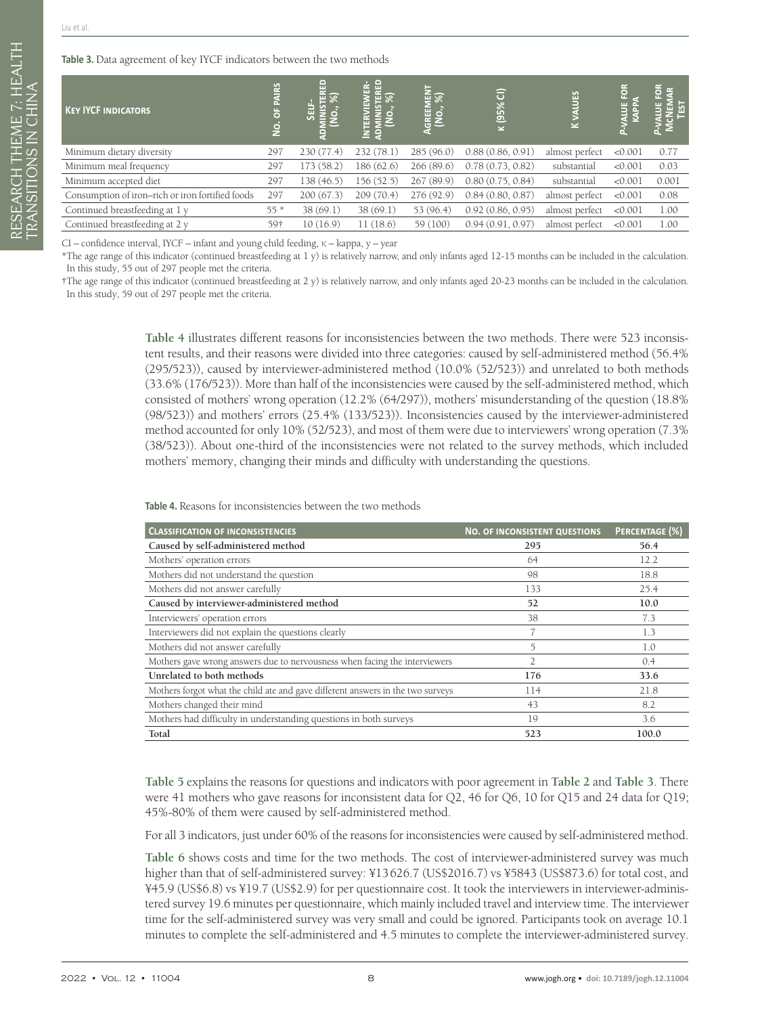RESEARCH THEME 7: HEALTH

RESEARCH THEME 7: HEALTH<br>FRANSITIONS IN CHINA

TRANSITIONS IN CHINA

<span id="page-7-0"></span>**Table 3.** Data agreement of key IYCF indicators between the two methods

| <b>KEY IVCF INDICATORS</b>                       | ပ္စ<br>ă<br>$\frac{1}{2}$ | 읍          |            | <b>GREEMEN</b><br>(NO., %) | ਰਿ<br>$\overline{\frac{6660 \text{ N}}{2}}$ | 留<br>$\geq$    | $\overline{\phantom{a}}$ | G     |
|--------------------------------------------------|---------------------------|------------|------------|----------------------------|---------------------------------------------|----------------|--------------------------|-------|
| Minimum dietary diversity                        | 297                       | 230 (77.4) | 232 (78.1) | 285 (96.0)                 | 0.88(0.86, 0.91)                            | almost perfect | < 0.001                  | 0.77  |
| Minimum meal frequency                           | 297                       | 173(58.2)  | 186 (62.6) | 266 (89.6)                 | 0.78(0.73, 0.82)                            | substantial    | < 0.001                  | 0.03  |
| Minimum accepted diet                            | 297                       | 138 (46.5) | 156 (52.5) | 267(89.9)                  | 0.80(0.75, 0.84)                            | substantial    | < 0.001                  | 0.001 |
| Consumption of iron-rich or iron fortified foods | 297                       | 200(67.3)  | 209(70.4)  | 276 (92.9)                 | 0.84(0.80, 0.87)                            | almost perfect | < 0.001                  | 0.08  |
| Continued breastfeeding at 1 y                   | $55*$                     | 38(69.1)   | 38(69.1)   | 53 (96.4)                  | 0.92(0.86, 0.95)                            | almost perfect | < 0.001                  | 1.00  |
| Continued breastfeeding at 2 y                   | 59†                       | 10(16.9)   | 11(18.6)   | 59 (100)                   | 0.94(0.91, 0.97)                            | almost perfect | < 0.001                  | 1.00  |

CI – confidence interval, IYCF – infant and young child feeding, κ – kappa, y – year

\*The age range of this indicator (continued breastfeeding at 1 y) is relatively narrow, and only infants aged 12-15 months can be included in the calculation. In this study, 55 out of 297 people met the criteria.

†The age range of this indicator (continued breastfeeding at 2 y) is relatively narrow, and only infants aged 20-23 months can be included in the calculation. In this study, 59 out of 297 people met the criteria.

> **[Table](#page-7-1) 4** illustrates different reasons for inconsistencies between the two methods. There were 523 inconsistent results, and their reasons were divided into three categories: caused by self-administered method (56.4% (295/523)), caused by interviewer-administered method (10.0% (52/523)) and unrelated to both methods (33.6% (176/523)). More than half of the inconsistencies were caused by the self-administered method, which consisted of mothers' wrong operation (12.2% (64/297)), mothers' misunderstanding of the question (18.8% (98/523)) and mothers' errors (25.4% (133/523)). Inconsistencies caused by the interviewer-administered method accounted for only 10% (52/523), and most of them were due to interviewers' wrong operation (7.3% (38/523)). About one-third of the inconsistencies were not related to the survey methods, which included mothers' memory, changing their minds and difficulty with understanding the questions.

<span id="page-7-1"></span>**Table 4.** Reasons for inconsistencies between the two methods

| <b>CLASSIFICATION OF INCONSISTENCIES</b>                                        | <b>NO. OF INCONSISTENT QUESTIONS</b> | PERCENTAGE (%) |
|---------------------------------------------------------------------------------|--------------------------------------|----------------|
| Caused by self-administered method                                              | 295                                  | 56.4           |
| Mothers' operation errors                                                       | 64                                   | 12.2           |
| Mothers did not understand the question                                         | 98                                   | 18.8           |
| Mothers did not answer carefully                                                | 133                                  | 25.4           |
| Caused by interviewer-administered method                                       | 52                                   | 10.0           |
| Interviewers' operation errors                                                  | 38                                   | 7.3            |
| Interviewers did not explain the questions clearly                              |                                      | 1.3            |
| Mothers did not answer carefully                                                | 5                                    | 1.0            |
| Mothers gave wrong answers due to nervousness when facing the interviewers      | $\overline{2}$                       | 0.4            |
| Unrelated to both methods                                                       | 176                                  | 33.6           |
| Mothers forgot what the child ate and gave different answers in the two surveys | 114                                  | 21.8           |
| Mothers changed their mind                                                      | 43                                   | 8.2            |
| Mothers had difficulty in understanding questions in both surveys               | 19                                   | 3.6            |
| Total                                                                           | 523                                  | 100.0          |

**[Table](#page-8-0) 5** explains the reasons for questions and indicators with poor agreement in **[Table](#page-5-1) 2** and **[Table](#page-7-0) 3**. There were 41 mothers who gave reasons for inconsistent data for Q2, 46 for Q6, 10 for Q15 and 24 data for Q19; 45%-80% of them were caused by self-administered method.

For all 3 indicators, just under 60% of the reasons for inconsistencies were caused by self-administered method.

**[Table](#page-8-1) 6** shows costs and time for the two methods. The cost of interviewer-administered survey was much higher than that of self-administered survey: ¥13626.7 (US\$2016.7) vs ¥5843 (US\$873.6) for total cost, and ¥45.9 (US\$6.8) vs ¥19.7 (US\$2.9) for per questionnaire cost. It took the interviewers in interviewer-administered survey 19.6 minutes per questionnaire, which mainly included travel and interview time. The interviewer time for the self-administered survey was very small and could be ignored. Participants took on average 10.1 minutes to complete the self-administered and 4.5 minutes to complete the interviewer-administered survey.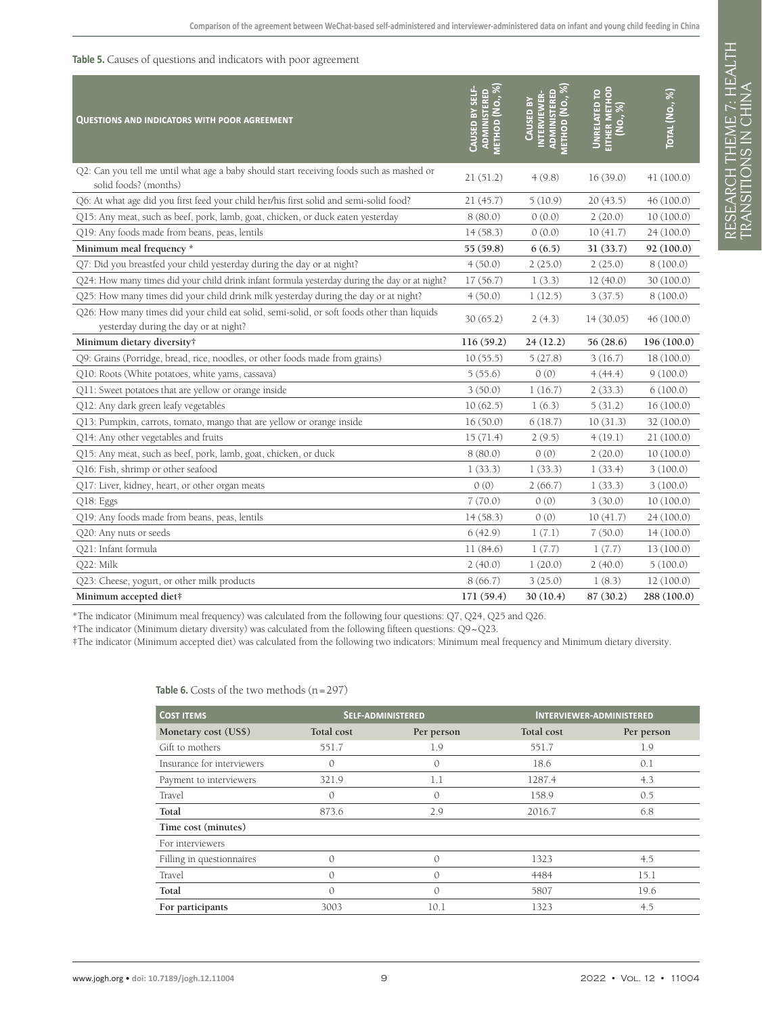#### <span id="page-8-0"></span>**Table 5.** Causes of questions and indicators with poor agreement

| QUESTIONS AND INDICATORS WITH POOR AGREEMENT                                                                                        | ADMINISTERED<br>METHOD (NO., %)<br>CAUSED BY SELF- | INTERVIEWER-<br>ADMINISTERED<br><b>METHOD (NO.,</b><br>CAUSED BY | EITHER METHOD<br>(NO., %)<br><b>UNRELATED TO</b> | Total (No., %) |
|-------------------------------------------------------------------------------------------------------------------------------------|----------------------------------------------------|------------------------------------------------------------------|--------------------------------------------------|----------------|
| Q2: Can you tell me until what age a baby should start receiving foods such as mashed or<br>solid foods? (months)                   | 21(51.2)                                           | 4(9.8)                                                           | 16(39.0)                                         | 41 (100.0)     |
| Q6: At what age did you first feed your child her/his first solid and semi-solid food?                                              | 21(45.7)                                           | 5(10.9)                                                          | 20(43.5)                                         | 46 (100.0)     |
| Q15: Any meat, such as beef, pork, lamb, goat, chicken, or duck eaten yesterday                                                     | 8(80.0)                                            | 0(0.0)                                                           | 2(20.0)                                          | 10(100.0)      |
| Q19: Any foods made from beans, peas, lentils                                                                                       | 14(58.3)                                           | 0(0.0)                                                           | 10(41.7)                                         | 24(100.0)      |
| Minimum meal frequency *                                                                                                            | 55 (59.8)                                          | 6(6.5)                                                           | 31(33.7)                                         | 92 (100.0)     |
| Q7: Did you breastfed your child yesterday during the day or at night?                                                              | 4(50.0)                                            | 2(25.0)                                                          | 2(25.0)                                          | 8(100.0)       |
| Q24: How many times did your child drink infant formula yesterday during the day or at night?                                       | 17(56.7)                                           | 1(3.3)                                                           | 12(40.0)                                         | 30 (100.0)     |
| Q25: How many times did your child drink milk yesterday during the day or at night?                                                 | 4(50.0)                                            | 1(12.5)                                                          | 3(37.5)                                          | 8(100.0)       |
| Q26: How many times did your child eat solid, semi-solid, or soft foods other than liquids<br>yesterday during the day or at night? | 30(65.2)                                           | 2(4.3)                                                           | 14(30.05)                                        | 46(100.0)      |
| Minimum dietary diversity†                                                                                                          | 116(59.2)                                          | 24(12.2)                                                         | 56(28.6)                                         | 196 (100.0)    |
| Q9: Grains (Porridge, bread, rice, noodles, or other foods made from grains)                                                        | 10(55.5)                                           | 5(27.8)                                                          | 3(16.7)                                          | 18 (100.0)     |
| Q10: Roots (White potatoes, white yams, cassava)                                                                                    | 5(55.6)                                            | 0(0)                                                             | 4(44.4)                                          | 9(100.0)       |
| Q11: Sweet potatoes that are yellow or orange inside                                                                                | 3(50.0)                                            | 1(16.7)                                                          | 2(33.3)                                          | 6(100.0)       |
| Q12: Any dark green leafy vegetables                                                                                                | 10(62.5)                                           | 1(6.3)                                                           | 5(31.2)                                          | 16(100.0)      |
| Q13: Pumpkin, carrots, tomato, mango that are yellow or orange inside                                                               | 16(50.0)                                           | 6(18.7)                                                          | 10(31.3)                                         | 32 (100.0)     |
| Q14: Any other vegetables and fruits                                                                                                | 15(71.4)                                           | 2(9.5)                                                           | 4(19.1)                                          | 21(100.0)      |
| Q15: Any meat, such as beef, pork, lamb, goat, chicken, or duck                                                                     | 8(80.0)                                            | 0(0)                                                             | 2(20.0)                                          | 10(100.0)      |
| Q16: Fish, shrimp or other seafood                                                                                                  | 1(33.3)                                            | 1(33.3)                                                          | 1(33.4)                                          | 3(100.0)       |
| Q17: Liver, kidney, heart, or other organ meats                                                                                     | 0(0)                                               | 2(66.7)                                                          | 1(33.3)                                          | 3(100.0)       |
| Q18: Eggs                                                                                                                           | 7(70.0)                                            | 0(0)                                                             | 3(30.0)                                          | 10(100.0)      |
| Q19: Any foods made from beans, peas, lentils                                                                                       | 14(58.3)                                           | 0(0)                                                             | 10(41.7)                                         | 24 (100.0)     |
| Q20: Any nuts or seeds                                                                                                              | 6(42.9)                                            | 1(7.1)                                                           | 7(50.0)                                          | 14(100.0)      |
| Q21: Infant formula                                                                                                                 | 11(84.6)                                           | 1(7.7)                                                           | 1(7.7)                                           | 13(100.0)      |
| Q22: Milk                                                                                                                           | 2(40.0)                                            | 1(20.0)                                                          | 2(40.0)                                          | 5(100.0)       |
| Q23: Cheese, yogurt, or other milk products                                                                                         | 8(66.7)                                            | 3(25.0)                                                          | 1(8.3)                                           | 12(100.0)      |
| Minimum accepted diet#                                                                                                              | 171(59.4)                                          | 30(10.4)                                                         | 87 (30.2)                                        | 288 (100.0)    |

\*The indicator (Minimum meal frequency) was calculated from the following four questions: Q7, Q24, Q25 and Q26.

†The indicator (Minimum dietary diversity) was calculated from the following fifteen questions: Q9~Q23.

‡The indicator (Minimum accepted diet) was calculated from the following two indicators: Minimum meal frequency and Minimum dietary diversity.

| <b>COST ITEMS</b>          |            | <b>SELF-ADMINISTERED</b> | <b>INTERVIEWER-ADMINISTERED</b> |            |  |
|----------------------------|------------|--------------------------|---------------------------------|------------|--|
| Monetary cost (US\$)       | Total cost | Per person               | Total cost                      | Per person |  |
| Gift to mothers            | 551.7      | 1.9                      | 551.7                           | 1.9        |  |
| Insurance for interviewers | 0          | $\mathbf{0}$             | 18.6                            | 0.1        |  |
| Payment to interviewers    | 321.9      | 1.1                      | 1287.4                          | 4.3        |  |
| Travel                     | 0          | $\mathcal{O}$            | 158.9                           | 0.5        |  |
| Total                      | 873.6      | 2.9                      | 2016.7                          | 6.8        |  |
| Time cost (minutes)        |            |                          |                                 |            |  |
| For interviewers           |            |                          |                                 |            |  |
| Filling in questionnaires  | 0          | $\mathcal{O}$            | 1323                            | 4.5        |  |
| Travel                     | $\Omega$   | $\mathcal{O}$            | 4484                            | 15.1       |  |
| Total                      | $\Omega$   | $\Omega$                 | 5807                            | 19.6       |  |
| For participants           | 3003       | 10.1                     | 1323                            | 4.5        |  |

#### <span id="page-8-1"></span>Table 6. Costs of the two methods (n=297)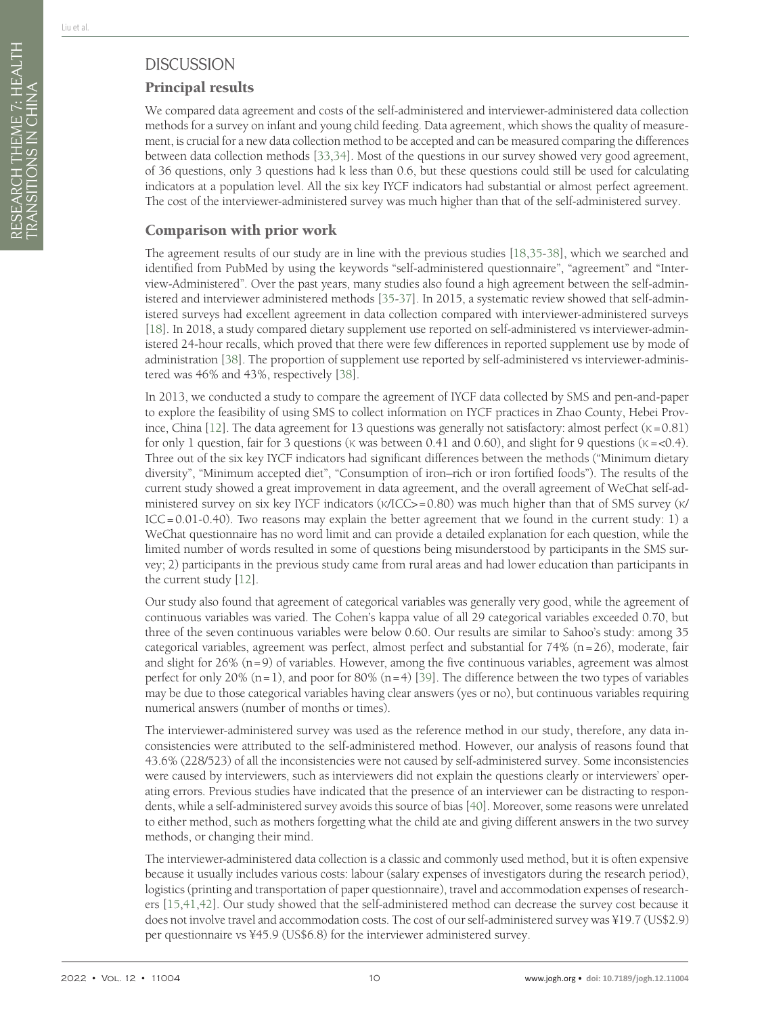# **DISCUSSION**

# Principal results

We compared data agreement and costs of the self-administered and interviewer-administered data collection methods for a survey on infant and young child feeding. Data agreement, which shows the quality of measurement, is crucial for a new data collection method to be accepted and can be measured comparing the differences between data collection methods [\[33](#page-11-17),[34\]](#page-11-18). Most of the questions in our survey showed very good agreement, of 36 questions, only 3 questions had k less than 0.6, but these questions could still be used for calculating indicators at a population level. All the six key IYCF indicators had substantial or almost perfect agreement. The cost of the interviewer-administered survey was much higher than that of the self-administered survey.

#### Comparison with prior work

The agreement results of our study are in line with the previous studies [\[18](#page-11-5)[,35](#page-11-19)[-38](#page-12-0)], which we searched and identified from PubMed by using the keywords "self-administered questionnaire", "agreement" and "Interview-Administered". Over the past years, many studies also found a high agreement between the self-administered and interviewer administered methods [\[35-](#page-11-19)[37](#page-11-20)]. In 2015, a systematic review showed that self-administered surveys had excellent agreement in data collection compared with interviewer-administered surveys [[18\]](#page-11-5). In 2018, a study compared dietary supplement use reported on self-administered vs interviewer-administered 24-hour recalls, which proved that there were few differences in reported supplement use by mode of administration [\[38](#page-12-0)]. The proportion of supplement use reported by self-administered vs interviewer-administered was 46% and 43%, respectively [\[38](#page-12-0)].

In 2013, we conducted a study to compare the agreement of IYCF data collected by SMS and pen-and-paper to explore the feasibility of using SMS to collect information on IYCF practices in Zhao County, Hebei Prov-ince, China [\[12\]](#page-11-0). The data agreement for 13 questions was generally not satisfactory: almost perfect ( $\kappa$  = 0.81) for only 1 question, fair for 3 questions (κ was between 0.41 and 0.60), and slight for 9 questions ( $\kappa = <0.4$ ). Three out of the six key IYCF indicators had significant differences between the methods ("Minimum dietary diversity", "Minimum accepted diet", "Consumption of iron–rich or iron fortified foods"). The results of the current study showed a great improvement in data agreement, and the overall agreement of WeChat self-administered survey on six key IYCF indicators (κ/ICC>=0.80) was much higher than that of SMS survey (κ/ ICC=0.01-0.40). Two reasons may explain the better agreement that we found in the current study: 1) a WeChat questionnaire has no word limit and can provide a detailed explanation for each question, while the limited number of words resulted in some of questions being misunderstood by participants in the SMS survey; 2) participants in the previous study came from rural areas and had lower education than participants in the current study [\[12\]](#page-11-0).

Our study also found that agreement of categorical variables was generally very good, while the agreement of continuous variables was varied. The Cohen's kappa value of all 29 categorical variables exceeded 0.70, but three of the seven continuous variables were below 0.60. Our results are similar to Sahoo's study: among 35 categorical variables, agreement was perfect, almost perfect and substantial for  $74\%$  (n=26), moderate, fair and slight for  $26\%$  (n=9) of variables. However, among the five continuous variables, agreement was almost perfect for only 20%  $(n=1)$ , and poor for 80%  $(n=4)$  [\[39\]](#page-12-1). The difference between the two types of variables may be due to those categorical variables having clear answers (yes or no), but continuous variables requiring numerical answers (number of months or times).

The interviewer-administered survey was used as the reference method in our study, therefore, any data inconsistencies were attributed to the self-administered method. However, our analysis of reasons found that 43.6% (228/523) of all the inconsistencies were not caused by self-administered survey. Some inconsistencies were caused by interviewers, such as interviewers did not explain the questions clearly or interviewers' operating errors. Previous studies have indicated that the presence of an interviewer can be distracting to respondents, while a self-administered survey avoids this source of bias [\[40](#page-12-2)]. Moreover, some reasons were unrelated to either method, such as mothers forgetting what the child ate and giving different answers in the two survey methods, or changing their mind.

The interviewer-administered data collection is a classic and commonly used method, but it is often expensive because it usually includes various costs: labour (salary expenses of investigators during the research period), logistics (printing and transportation of paper questionnaire), travel and accommodation expenses of researchers [[15,](#page-11-2)[41](#page-12-3),[42](#page-12-4)]. Our study showed that the self-administered method can decrease the survey cost because it does not involve travel and accommodation costs. The cost of our self-administered survey was ¥19.7 (US\$2.9) per questionnaire vs ¥45.9 (US\$6.8) for the interviewer administered survey.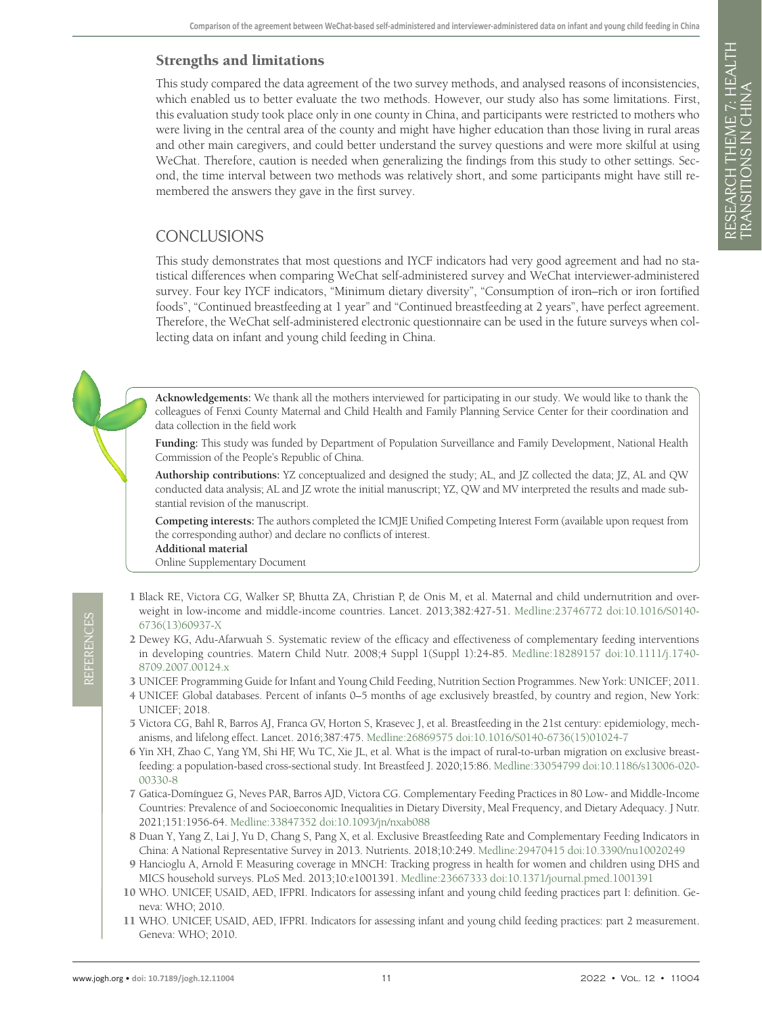#### Strengths and limitations

This study compared the data agreement of the two survey methods, and analysed reasons of inconsistencies, which enabled us to better evaluate the two methods. However, our study also has some limitations. First, this evaluation study took place only in one county in China, and participants were restricted to mothers who were living in the central area of the county and might have higher education than those living in rural areas and other main caregivers, and could better understand the survey questions and were more skilful at using WeChat. Therefore, caution is needed when generalizing the findings from this study to other settings. Second, the time interval between two methods was relatively short, and some participants might have still remembered the answers they gave in the first survey.

#### CONCLUSIONS

This study demonstrates that most questions and IYCF indicators had very good agreement and had no statistical differences when comparing WeChat self-administered survey and WeChat interviewer-administered survey. Four key IYCF indicators, "Minimum dietary diversity", "Consumption of iron–rich or iron fortified foods", "Continued breastfeeding at 1 year" and "Continued breastfeeding at 2 years", have perfect agreement. Therefore, the WeChat self-administered electronic questionnaire can be used in the future surveys when collecting data on infant and young child feeding in China.

**Acknowledgements:** We thank all the mothers interviewed for participating in our study. We would like to thank the colleagues of Fenxi County Maternal and Child Health and Family Planning Service Center for their coordination and data collection in the field work

**Funding:** This study was funded by Department of Population Surveillance and Family Development, National Health Commission of the People's Republic of China.

**Authorship contributions:** YZ conceptualized and designed the study; AL, and JZ collected the data; JZ, AL and QW conducted data analysis; AL and JZ wrote the initial manuscript; YZ, QW and MV interpreted the results and made substantial revision of the manuscript.

**Competing interests:** The authors completed the ICMJE Unified Competing Interest Form (available upon request from the corresponding author) and declare no conflicts of interest.

**Additional material**

[Online Supplementary Document](https://jogh.org/documents/2022/jogh-12-11004-s001.pdf)

- <span id="page-10-0"></span>1 Black RE, Victora CG, Walker SP, Bhutta ZA, Christian P, de Onis M, et al. Maternal and child undernutrition and overweight in low-income and middle-income countries. Lancet. 2013;382:427-51. [Medline:23746772](https://www.ncbi.nlm.nih.gov/entrez/query.fcgi?cmd=Retrieve&db=PubMed&list_uids=23746772&dopt=Abstract) [doi:10.1016/S0140-](https://doi.org/10.1016/S0140-6736(13)60937-X) [6736\(13\)60937-X](https://doi.org/10.1016/S0140-6736(13)60937-X)
- <span id="page-10-1"></span>2 Dewey KG, Adu-Afarwuah S. Systematic review of the efficacy and effectiveness of complementary feeding interventions in developing countries. Matern Child Nutr. 2008;4 Suppl 1(Suppl 1):24-85. [Medline:18289157](https://www.ncbi.nlm.nih.gov/entrez/query.fcgi?cmd=Retrieve&db=PubMed&list_uids=18289157&dopt=Abstract) [doi:10.1111/j.1740-](https://doi.org/10.1111/j.1740-8709.2007.00124.x) [8709.2007.00124.x](https://doi.org/10.1111/j.1740-8709.2007.00124.x)
- <span id="page-10-2"></span>3 UNICEF. Programming Guide for Infant and Young Child Feeding, Nutrition Section Programmes. New York: UNICEF; 2011.
- <span id="page-10-3"></span>4 UNICEF. Global databases. Percent of infants 0–5 months of age exclusively breastfed, by country and region, New York: UNICEF; 2018.
- <span id="page-10-4"></span>5 Victora CG, Bahl R, Barros AJ, Franca GV, Horton S, Krasevec J, et al. Breastfeeding in the 21st century: epidemiology, mechanisms, and lifelong effect. Lancet. 2016;387:475. [Medline:26869575](https://www.ncbi.nlm.nih.gov/entrez/query.fcgi?cmd=Retrieve&db=PubMed&list_uids=26869575&dopt=Abstract) [doi:10.1016/S0140-6736\(15\)01024-7](https://doi.org/10.1016/S0140-6736(15)01024-7)
- <span id="page-10-5"></span>6 Yin XH, Zhao C, Yang YM, Shi HF, Wu TC, Xie JL, et al. What is the impact of rural-to-urban migration on exclusive breastfeeding: a population-based cross-sectional study. Int Breastfeed J. 2020;15:86. [Medline:33054799](https://www.ncbi.nlm.nih.gov/entrez/query.fcgi?cmd=Retrieve&db=PubMed&list_uids=33054799&dopt=Abstract) [doi:10.1186/s13006-020-](https://doi.org/10.1186/s13006-020-00330-8) [00330-8](https://doi.org/10.1186/s13006-020-00330-8)
- <span id="page-10-6"></span>7 Gatica-Domínguez G, Neves PAR, Barros AJD, Victora CG. Complementary Feeding Practices in 80 Low- and Middle-Income Countries: Prevalence of and Socioeconomic Inequalities in Dietary Diversity, Meal Frequency, and Dietary Adequacy. J Nutr. 2021;151:1956-64. [Medline:33847352](https://www.ncbi.nlm.nih.gov/entrez/query.fcgi?cmd=Retrieve&db=PubMed&list_uids=33847352&dopt=Abstract) [doi:10.1093/jn/nxab088](https://doi.org/10.1093/jn/nxab088)
- <span id="page-10-7"></span>8 Duan Y, Yang Z, Lai J, Yu D, Chang S, Pang X, et al. Exclusive Breastfeeding Rate and Complementary Feeding Indicators in China: A National Representative Survey in 2013. Nutrients. 2018;10:249. [Medline:29470415](https://www.ncbi.nlm.nih.gov/entrez/query.fcgi?cmd=Retrieve&db=PubMed&list_uids=29470415&dopt=Abstract) [doi:10.3390/nu10020249](https://doi.org/10.3390/nu10020249)
- <span id="page-10-8"></span>9 Hancioglu A, Arnold F. Measuring coverage in MNCH: Tracking progress in health for women and children using DHS and MICS household surveys. PLoS Med. 2013;10:e1001391. [Medline:23667333](https://www.ncbi.nlm.nih.gov/entrez/query.fcgi?cmd=Retrieve&db=PubMed&list_uids=23667333&dopt=Abstract) [doi:10.1371/journal.pmed.1001391](https://doi.org/10.1371/journal.pmed.1001391)
- <span id="page-10-9"></span>10 WHO. UNICEF, USAID, AED, IFPRI. Indicators for assessing infant and young child feeding practices part I: definition. Geneva: WHO; 2010.
- <span id="page-10-10"></span>11 WHO. UNICEF, USAID, AED, IFPRI. Indicators for assessing infant and young child feeding practices: part 2 measurement. Geneva: WHO; 2010.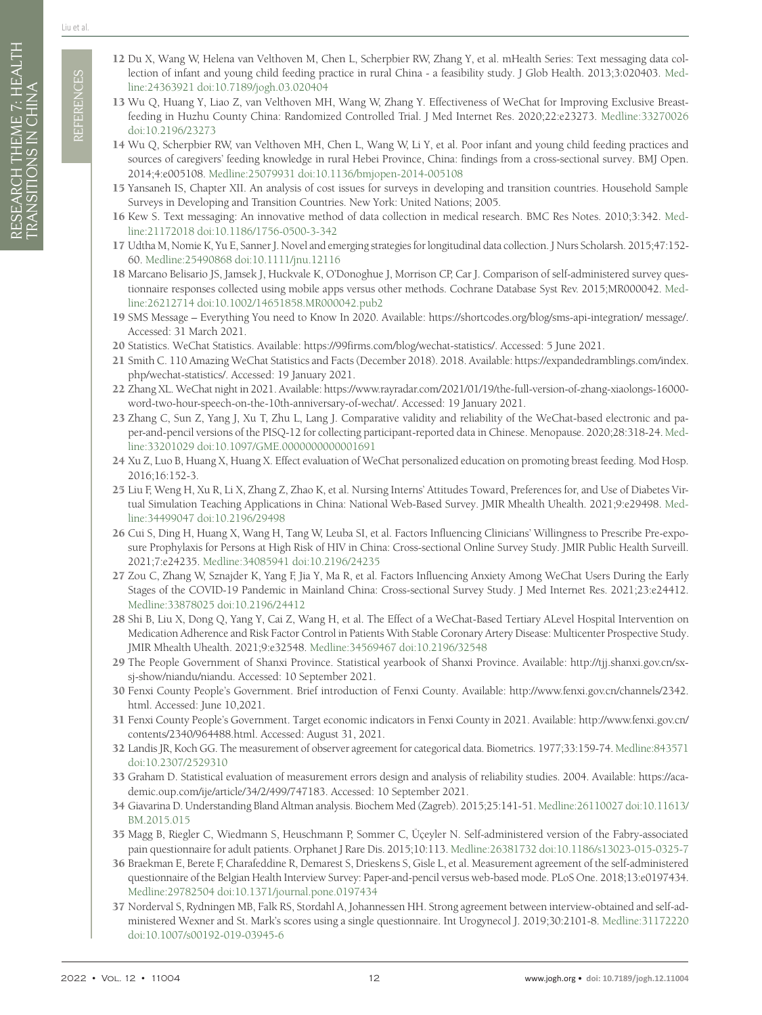- <span id="page-11-17"></span><span id="page-11-16"></span><span id="page-11-15"></span><span id="page-11-14"></span><span id="page-11-13"></span><span id="page-11-12"></span>33 Graham D. Statistical evaluation of measurement errors design and analysis of reliability studies. 2004. Available: [https://aca](https://academic.oup.com/ije/article/34/2/499/747183)[demic.oup.com/ije/article/34/2/499/747183](https://academic.oup.com/ije/article/34/2/499/747183). Accessed: 10 September 2021.
- <span id="page-11-18"></span>34 Giavarina D. Understanding Bland Altman analysis. Biochem Med (Zagreb). 2015;25:141-51. [Medline:26110027](https://www.ncbi.nlm.nih.gov/entrez/query.fcgi?cmd=Retrieve&db=PubMed&list_uids=26110027&dopt=Abstract) [doi:10.11613/](https://doi.org/10.11613/BM.2015.015) [BM.2015.015](https://doi.org/10.11613/BM.2015.015)
- <span id="page-11-19"></span>35 Magg B, Riegler C, Wiedmann S, Heuschmann P, Sommer C, Üçeyler N. Self-administered version of the Fabry-associated pain questionnaire for adult patients. Orphanet J Rare Dis. 2015;10:113. [Medline:26381732](https://www.ncbi.nlm.nih.gov/entrez/query.fcgi?cmd=Retrieve&db=PubMed&list_uids=26381732&dopt=Abstract) [doi:10.1186/s13023-015-0325-7](https://doi.org/10.1186/s13023-015-0325-7)
- 36 Braekman E, Berete F, Charafeddine R, Demarest S, Drieskens S, Gisle L, et al. Measurement agreement of the self-administered questionnaire of the Belgian Health Interview Survey: Paper-and-pencil versus web-based mode. PLoS One. 2018;13:e0197434. [Medline:29782504](https://www.ncbi.nlm.nih.gov/entrez/query.fcgi?cmd=Retrieve&db=PubMed&list_uids=29782504&dopt=Abstract) [doi:10.1371/journal.pone.0197434](https://doi.org/10.1371/journal.pone.0197434)
- <span id="page-11-20"></span>37 Norderval S, Rydningen MB, Falk RS, Stordahl A, Johannessen HH. Strong agreement between interview-obtained and self-administered Wexner and St. Mark's scores using a single questionnaire. Int Urogynecol J. 2019;30:2101-8. [Medline:31172220](https://www.ncbi.nlm.nih.gov/entrez/query.fcgi?cmd=Retrieve&db=PubMed&list_uids=31172220&dopt=Abstract) [doi:10.1007/s00192-019-03945-6](https://doi.org/10.1007/s00192-019-03945-6)

Liu et al.

- <span id="page-11-10"></span><span id="page-11-0"></span>12 Du X, Wang W, Helena van Velthoven M, Chen L, Scherpbier RW, Zhang Y, et al. mHealth Series: Text messaging data collection of infant and young child feeding practice in rural China - a feasibility study. J Glob Health. 2013;3:020403. [Med](https://www.ncbi.nlm.nih.gov/entrez/query.fcgi?cmd=Retrieve&db=PubMed&list_uids=24363921&dopt=Abstract)[line:24363921](https://www.ncbi.nlm.nih.gov/entrez/query.fcgi?cmd=Retrieve&db=PubMed&list_uids=24363921&dopt=Abstract) [doi:10.7189/jogh.03.020404](https://doi.org/10.7189/jogh.03.020404)
- <span id="page-11-11"></span><span id="page-11-9"></span><span id="page-11-8"></span><span id="page-11-7"></span><span id="page-11-6"></span><span id="page-11-5"></span><span id="page-11-4"></span><span id="page-11-3"></span><span id="page-11-2"></span><span id="page-11-1"></span>2022 • Vol. 12 • 11004 12 www.jogh.org • **doi: 10.7189/jogh.12.11004** REFERENCES 13 Wu Q, Huang Y, Liao Z, van Velthoven MH, Wang W, Zhang Y. Effectiveness of WeChat for Improving Exclusive Breastfeeding in Huzhu County China: Randomized Controlled Trial. J Med Internet Res. 2020;22:e23273. [Medline:33270026](https://www.ncbi.nlm.nih.gov/entrez/query.fcgi?cmd=Retrieve&db=PubMed&list_uids=33270026&dopt=Abstract) [doi:10.2196/23273](https://doi.org/10.2196/23273)
	- 14 Wu Q, Scherpbier RW, van Velthoven MH, Chen L, Wang W, Li Y, et al. Poor infant and young child feeding practices and sources of caregivers' feeding knowledge in rural Hebei Province, China: findings from a cross-sectional survey. BMJ Open. 2014;4:e005108. [Medline:25079931](https://www.ncbi.nlm.nih.gov/entrez/query.fcgi?cmd=Retrieve&db=PubMed&list_uids=25079931&dopt=Abstract) [doi:10.1136/bmjopen-2014-005108](https://doi.org/10.1136/bmjopen-2014-005108)
	- 15 Yansaneh IS, Chapter XII. An analysis of cost issues for surveys in developing and transition countries. Household Sample Surveys in Developing and Transition Countries. New York: United Nations; 2005.
	- 16 Kew S. Text messaging: An innovative method of data collection in medical research. BMC Res Notes. 2010;3:342. [Med](https://www.ncbi.nlm.nih.gov/entrez/query.fcgi?cmd=Retrieve&db=PubMed&list_uids=21172018&dopt=Abstract)[line:21172018](https://www.ncbi.nlm.nih.gov/entrez/query.fcgi?cmd=Retrieve&db=PubMed&list_uids=21172018&dopt=Abstract) [doi:10.1186/1756-0500-3-342](https://doi.org/10.1186/1756-0500-3-342)
	- 17 Udtha M, Nomie K, Yu E, Sanner J. Novel and emerging strategies for longitudinal data collection. J Nurs Scholarsh. 2015;47:152- 60. [Medline:25490868](https://www.ncbi.nlm.nih.gov/entrez/query.fcgi?cmd=Retrieve&db=PubMed&list_uids=25490868&dopt=Abstract) [doi:10.1111/jnu.12116](https://doi.org/10.1111/jnu.12116)
	- 18 Marcano Belisario JS, Jamsek J, Huckvale K, O'Donoghue J, Morrison CP, Car J. Comparison of self-administered survey ques-tionnaire responses collected using mobile apps versus other methods. Cochrane Database Syst Rev. 2015;MR000042. [Med](https://www.ncbi.nlm.nih.gov/entrez/query.fcgi?cmd=Retrieve&db=PubMed&list_uids=26212714&dopt=Abstract)[line:26212714](https://www.ncbi.nlm.nih.gov/entrez/query.fcgi?cmd=Retrieve&db=PubMed&list_uids=26212714&dopt=Abstract) [doi:10.1002/14651858.MR000042.pub2](https://doi.org/10.1002/14651858.MR000042.pub2)
	- 19 SMS Message Everything You need to Know In 2020. Available:<https://shortcodes.org/blog/sms-api-integration/ message/>. Accessed: 31 March 2021.
	- 20 Statistics. WeChat Statistics. Available: [https://99firms.com/blog/wechat-statistics/.](https://99firms.com/blog/wechat-statistics/) Accessed: 5 June 2021.
	- 21 Smith C. 110 Amazing WeChat Statistics and Facts (December 2018). 2018. Available: [https://expandedramblings.com/index.](https://expandedramblings.com/index.php/wechat-statistics/) [php/wechat-statistics/](https://expandedramblings.com/index.php/wechat-statistics/). Accessed: 19 January 2021.
	- 22 Zhang XL. WeChat night in 2021. Available: [https://www.rayradar.com/2021/01/19/the-full-version-of-zhang-xiaolongs-16000](https://www.rayradar.com/2021/01/19/the-full-version-of-zhang-xiaolongs-16000-word-two-hour-speech-o) [word-two-hour-speech-on-the-10th-anniversary-of-wechat/.](https://www.rayradar.com/2021/01/19/the-full-version-of-zhang-xiaolongs-16000-word-two-hour-speech-o) Accessed: 19 January 2021.
	- 23 Zhang C, Sun Z, Yang J, Xu T, Zhu L, Lang J. Comparative validity and reliability of the WeChat-based electronic and paper-and-pencil versions of the PISQ-12 for collecting participant-reported data in Chinese. Menopause. 2020;28:318-24. [Med](https://www.ncbi.nlm.nih.gov/entrez/query.fcgi?cmd=Retrieve&db=PubMed&list_uids=33201029&dopt=Abstract)[line:33201029](https://www.ncbi.nlm.nih.gov/entrez/query.fcgi?cmd=Retrieve&db=PubMed&list_uids=33201029&dopt=Abstract) [doi:10.1097/GME.0000000000001691](https://doi.org/10.1097/GME.0000000000001691)
	- 24 Xu Z, Luo B, Huang X, Huang X. Effect evaluation of WeChat personalized education on promoting breast feeding. Mod Hosp. 2016;16:152-3.
	- 25 Liu F, Weng H, Xu R, Li X, Zhang Z, Zhao K, et al. Nursing Interns' Attitudes Toward, Preferences for, and Use of Diabetes Virtual Simulation Teaching Applications in China: National Web-Based Survey. JMIR Mhealth Uhealth. 2021;9:e29498. [Med](https://www.ncbi.nlm.nih.gov/entrez/query.fcgi?cmd=Retrieve&db=PubMed&list_uids=34499047&dopt=Abstract)[line:34499047](https://www.ncbi.nlm.nih.gov/entrez/query.fcgi?cmd=Retrieve&db=PubMed&list_uids=34499047&dopt=Abstract) [doi:10.2196/29498](https://doi.org/10.2196/29498)
	- 26 Cui S, Ding H, Huang X, Wang H, Tang W, Leuba SI, et al. Factors Influencing Clinicians' Willingness to Prescribe Pre-exposure Prophylaxis for Persons at High Risk of HIV in China: Cross-sectional Online Survey Study. JMIR Public Health Surveill. 2021;7:e24235. [Medline:34085941](https://www.ncbi.nlm.nih.gov/entrez/query.fcgi?cmd=Retrieve&db=PubMed&list_uids=34085941&dopt=Abstract) [doi:10.2196/24235](https://doi.org/10.2196/24235)
	- 27 Zou C, Zhang W, Sznajder K, Yang F, Jia Y, Ma R, et al. Factors Influencing Anxiety Among WeChat Users During the Early Stages of the COVID-19 Pandemic in Mainland China: Cross-sectional Survey Study. J Med Internet Res. 2021;23:e24412. [Medline:33878025](https://www.ncbi.nlm.nih.gov/entrez/query.fcgi?cmd=Retrieve&db=PubMed&list_uids=33878025&dopt=Abstract) [doi:10.2196/24412](https://doi.org/10.2196/24412)
	- 28 Shi B, Liu X, Dong Q, Yang Y, Cai Z, Wang H, et al. The Effect of a WeChat-Based Tertiary ALevel Hospital Intervention on Medication Adherence and Risk Factor Control in Patients With Stable Coronary Artery Disease: Multicenter Prospective Study. JMIR Mhealth Uhealth. 2021;9:e32548. [Medline:34569467](https://www.ncbi.nlm.nih.gov/entrez/query.fcgi?cmd=Retrieve&db=PubMed&list_uids=34569467&dopt=Abstract) [doi:10.2196/32548](https://doi.org/10.2196/32548)
	- 29 The People Government of Shanxi Province. Statistical yearbook of Shanxi Province. Available: [http://tjj.shanxi.gov.cn/sx](http://tjj.shanxi.gov.cn/sxsj-show/niandu/niandu)[sj-show/niandu/niandu.](http://tjj.shanxi.gov.cn/sxsj-show/niandu/niandu) Accessed: 10 September 2021.
	- 30 Fenxi County People's Government. Brief introduction of Fenxi County. Available: [http://www.fenxi.gov.cn/channels/2342.](http://www.fenxi.gov.cn/channels/2342.html) [html.](http://www.fenxi.gov.cn/channels/2342.html) Accessed: June 10,2021.
	- 31 Fenxi County People's Government. Target economic indicators in Fenxi County in 2021. Available: [http://www.fenxi.gov.cn/](http://www.fenxi.gov.cn/contents/2340/964488.html) [contents/2340/964488.html](http://www.fenxi.gov.cn/contents/2340/964488.html). Accessed: August 31, 2021.
	- 32 Landis JR, Koch GG. The measurement of observer agreement for categorical data. Biometrics. 1977;33:159-74. [Medline:843571](https://www.ncbi.nlm.nih.gov/entrez/query.fcgi?cmd=Retrieve&db=PubMed&list_uids=843571&dopt=Abstract) [doi:10.2307/2529310](https://doi.org/10.2307/2529310)
	-